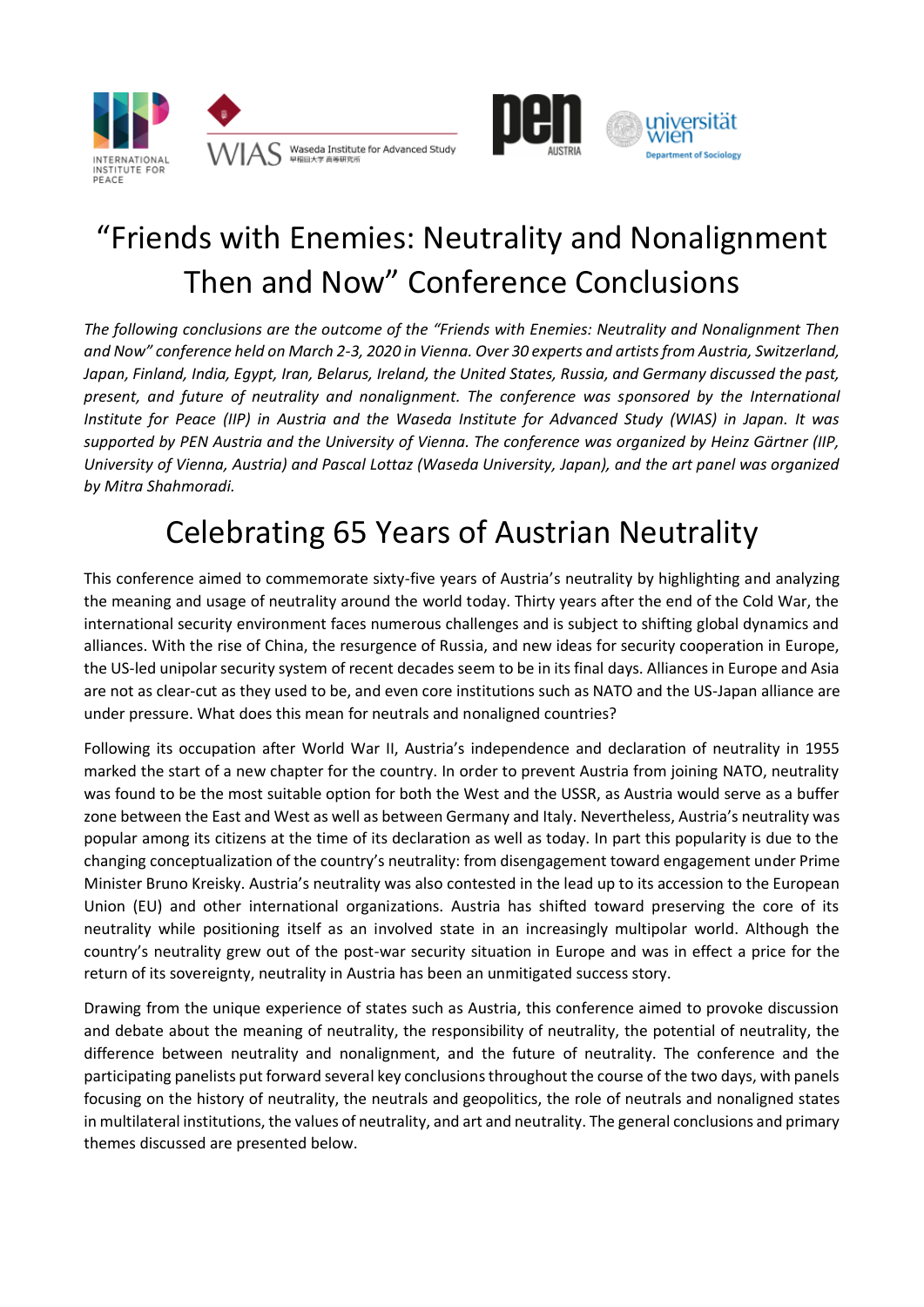





# "Friends with Enemies: Neutrality and Nonalignment Then and Now" Conference Conclusions

*The following conclusions are the outcome of the "Friends with Enemies: Neutrality and Nonalignment Then and Now" conference held on March 2-3, 2020 in Vienna. Over 30 experts and artists from Austria, Switzerland, Japan, Finland, India, Egypt, Iran, Belarus, Ireland, the United States, Russia, and Germany discussed the past, present, and future of neutrality and nonalignment. The conference was sponsored by the International Institute for Peace (IIP) in Austria and the Waseda Institute for Advanced Study (WIAS) in Japan. It was supported by PEN Austria and the University of Vienna. The conference was organized by Heinz Gärtner (IIP, University of Vienna, Austria) and Pascal Lottaz (Waseda University, Japan), and the art panel was organized by Mitra Shahmoradi.* 

## Celebrating 65 Years of Austrian Neutrality

This conference aimed to commemorate sixty-five years of Austria's neutrality by highlighting and analyzing the meaning and usage of neutrality around the world today. Thirty years after the end of the Cold War, the international security environment faces numerous challenges and is subject to shifting global dynamics and alliances. With the rise of China, the resurgence of Russia, and new ideas for security cooperation in Europe, the US-led unipolar security system of recent decades seem to be in its final days. Alliances in Europe and Asia are not as clear-cut as they used to be, and even core institutions such as NATO and the US-Japan alliance are under pressure. What does this mean for neutrals and nonaligned countries?

Following its occupation after World War II, Austria's independence and declaration of neutrality in 1955 marked the start of a new chapter for the country. In order to prevent Austria from joining NATO, neutrality was found to be the most suitable option for both the West and the USSR, as Austria would serve as a buffer zone between the East and West as well as between Germany and Italy. Nevertheless, Austria's neutrality was popular among its citizens at the time of its declaration as well as today. In part this popularity is due to the changing conceptualization of the country's neutrality: from disengagement toward engagement under Prime Minister Bruno Kreisky. Austria's neutrality was also contested in the lead up to its accession to the European Union (EU) and other international organizations. Austria has shifted toward preserving the core of its neutrality while positioning itself as an involved state in an increasingly multipolar world. Although the country's neutrality grew out of the post-war security situation in Europe and was in effect a price for the return of its sovereignty, neutrality in Austria has been an unmitigated success story.

Drawing from the unique experience of states such as Austria, this conference aimed to provoke discussion and debate about the meaning of neutrality, the responsibility of neutrality, the potential of neutrality, the difference between neutrality and nonalignment, and the future of neutrality. The conference and the participating panelists put forward several key conclusions throughout the course of the two days, with panels focusing on the history of neutrality, the neutrals and geopolitics, the role of neutrals and nonaligned states in multilateral institutions, the values of neutrality, and art and neutrality. The general conclusions and primary themes discussed are presented below.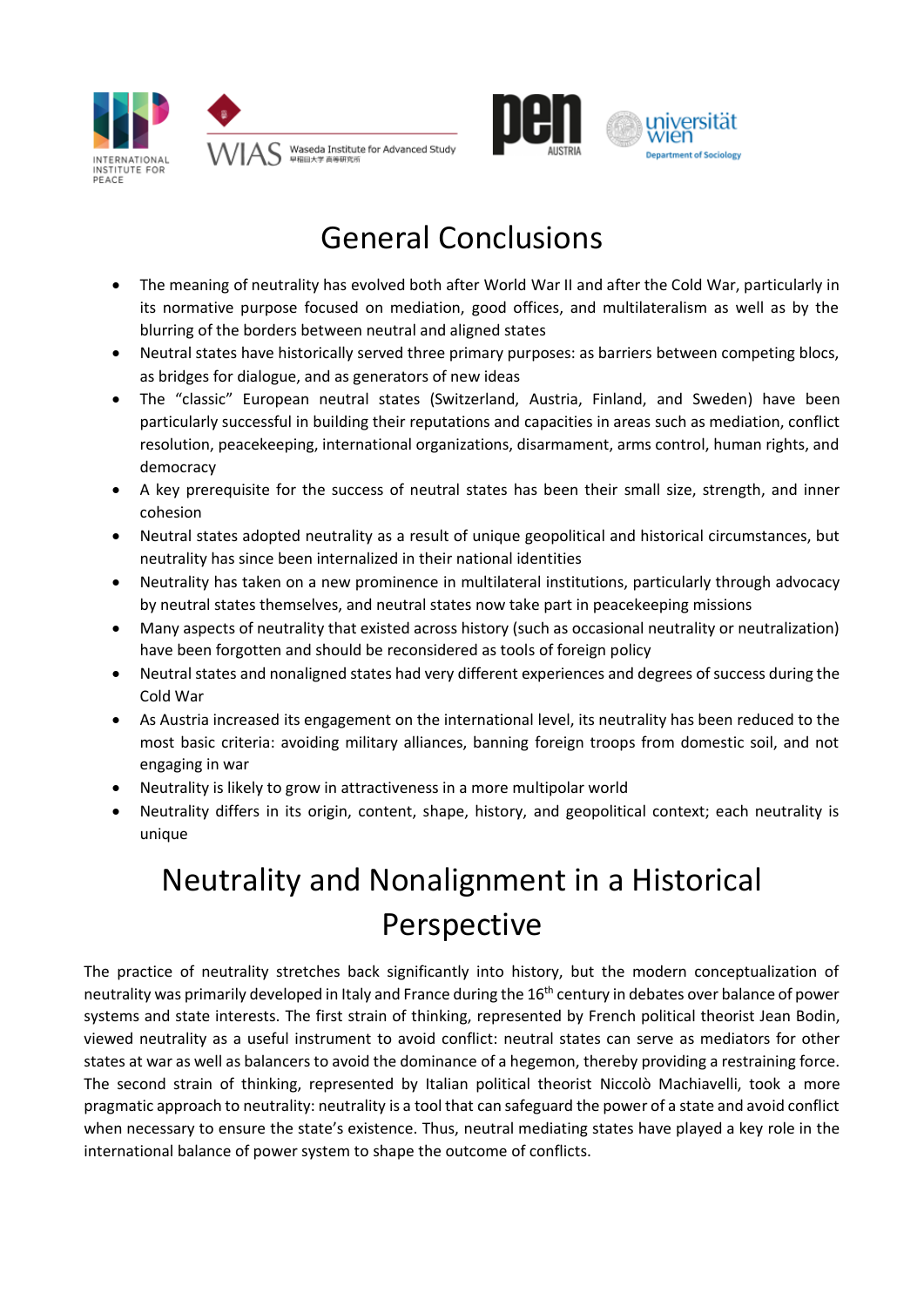





## General Conclusions

- The meaning of neutrality has evolved both after World War II and after the Cold War, particularly in its normative purpose focused on mediation, good offices, and multilateralism as well as by the blurring of the borders between neutral and aligned states
- Neutral states have historically served three primary purposes: as barriers between competing blocs, as bridges for dialogue, and as generators of new ideas
- The "classic" European neutral states (Switzerland, Austria, Finland, and Sweden) have been particularly successful in building their reputations and capacities in areas such as mediation, conflict resolution, peacekeeping, international organizations, disarmament, arms control, human rights, and democracy
- A key prerequisite for the success of neutral states has been their small size, strength, and inner cohesion
- Neutral states adopted neutrality as a result of unique geopolitical and historical circumstances, but neutrality has since been internalized in their national identities
- Neutrality has taken on a new prominence in multilateral institutions, particularly through advocacy by neutral states themselves, and neutral states now take part in peacekeeping missions
- Many aspects of neutrality that existed across history (such as occasional neutrality or neutralization) have been forgotten and should be reconsidered as tools of foreign policy
- Neutral states and nonaligned states had very different experiences and degrees of success during the Cold War
- As Austria increased its engagement on the international level, its neutrality has been reduced to the most basic criteria: avoiding military alliances, banning foreign troops from domestic soil, and not engaging in war
- Neutrality is likely to grow in attractiveness in a more multipolar world
- Neutrality differs in its origin, content, shape, history, and geopolitical context; each neutrality is unique

# Neutrality and Nonalignment in a Historical Perspective

The practice of neutrality stretches back significantly into history, but the modern conceptualization of neutrality was primarily developed in Italy and France during the 16th century in debates over balance of power systems and state interests. The first strain of thinking, represented by French political theorist Jean Bodin, viewed neutrality as a useful instrument to avoid conflict: neutral states can serve as mediators for other states at war as well as balancers to avoid the dominance of a hegemon, thereby providing a restraining force. The second strain of thinking, represented by Italian political theorist Niccolò Machiavelli, took a more pragmatic approach to neutrality: neutrality is a tool that can safeguard the power of a state and avoid conflict when necessary to ensure the state's existence. Thus, neutral mediating states have played a key role in the international balance of power system to shape the outcome of conflicts.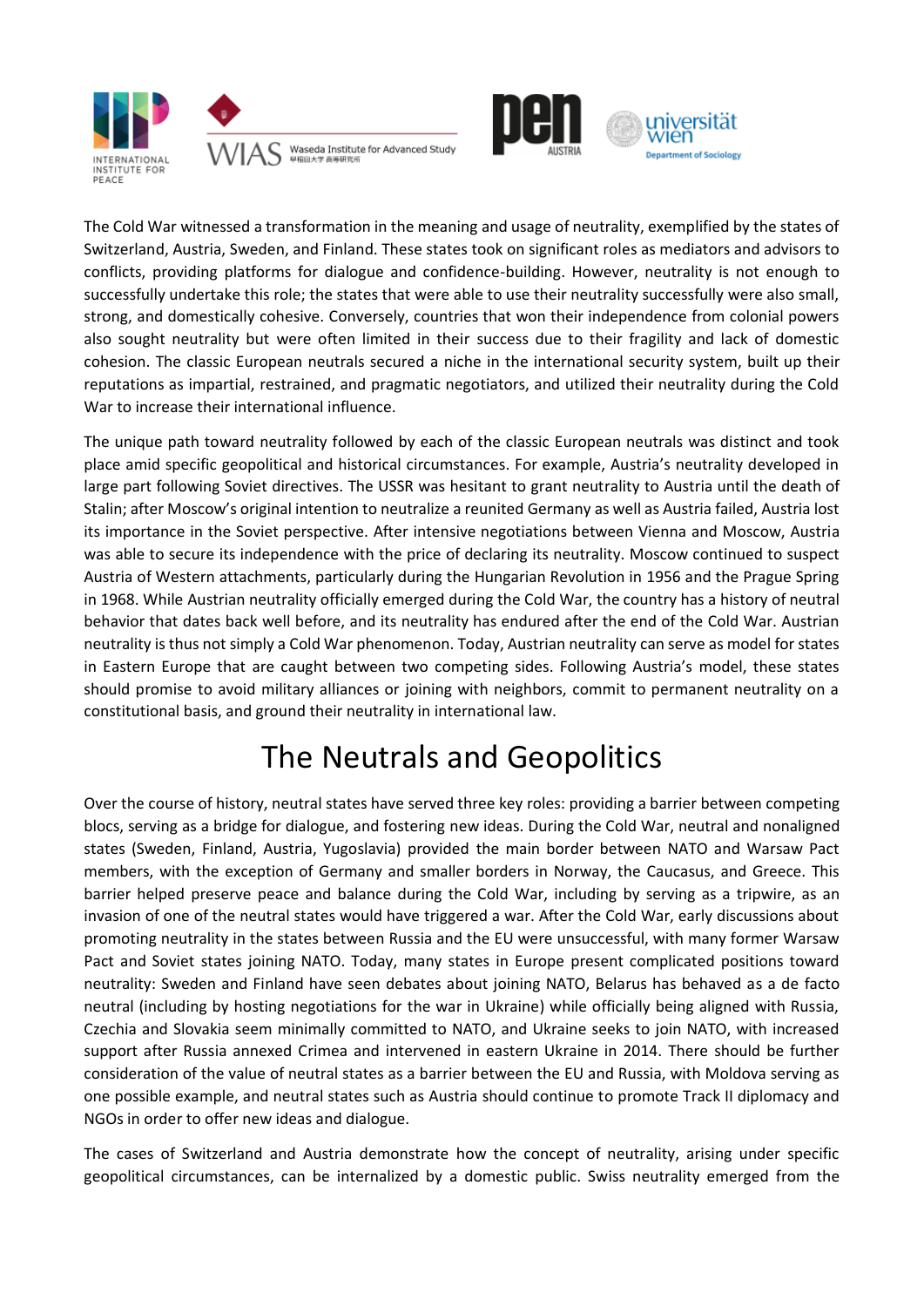





The Cold War witnessed a transformation in the meaning and usage of neutrality, exemplified by the states of Switzerland, Austria, Sweden, and Finland. These states took on significant roles as mediators and advisors to conflicts, providing platforms for dialogue and confidence-building. However, neutrality is not enough to successfully undertake this role; the states that were able to use their neutrality successfully were also small, strong, and domestically cohesive. Conversely, countries that won their independence from colonial powers also sought neutrality but were often limited in their success due to their fragility and lack of domestic cohesion. The classic European neutrals secured a niche in the international security system, built up their reputations as impartial, restrained, and pragmatic negotiators, and utilized their neutrality during the Cold War to increase their international influence.

The unique path toward neutrality followed by each of the classic European neutrals was distinct and took place amid specific geopolitical and historical circumstances. For example, Austria's neutrality developed in large part following Soviet directives. The USSR was hesitant to grant neutrality to Austria until the death of Stalin; after Moscow's original intention to neutralize a reunited Germany as well as Austria failed, Austria lost its importance in the Soviet perspective. After intensive negotiations between Vienna and Moscow, Austria was able to secure its independence with the price of declaring its neutrality. Moscow continued to suspect Austria of Western attachments, particularly during the Hungarian Revolution in 1956 and the Prague Spring in 1968. While Austrian neutrality officially emerged during the Cold War, the country has a history of neutral behavior that dates back well before, and its neutrality has endured after the end of the Cold War. Austrian neutrality is thus not simply a Cold War phenomenon. Today, Austrian neutrality can serve as model for states in Eastern Europe that are caught between two competing sides. Following Austria's model, these states should promise to avoid military alliances or joining with neighbors, commit to permanent neutrality on a constitutional basis, and ground their neutrality in international law.

### The Neutrals and Geopolitics

Over the course of history, neutral states have served three key roles: providing a barrier between competing blocs, serving as a bridge for dialogue, and fostering new ideas. During the Cold War, neutral and nonaligned states (Sweden, Finland, Austria, Yugoslavia) provided the main border between NATO and Warsaw Pact members, with the exception of Germany and smaller borders in Norway, the Caucasus, and Greece. This barrier helped preserve peace and balance during the Cold War, including by serving as a tripwire, as an invasion of one of the neutral states would have triggered a war. After the Cold War, early discussions about promoting neutrality in the states between Russia and the EU were unsuccessful, with many former Warsaw Pact and Soviet states joining NATO. Today, many states in Europe present complicated positions toward neutrality: Sweden and Finland have seen debates about joining NATO, Belarus has behaved as a de facto neutral (including by hosting negotiations for the war in Ukraine) while officially being aligned with Russia, Czechia and Slovakia seem minimally committed to NATO, and Ukraine seeks to join NATO, with increased support after Russia annexed Crimea and intervened in eastern Ukraine in 2014. There should be further consideration of the value of neutral states as a barrier between the EU and Russia, with Moldova serving as one possible example, and neutral states such as Austria should continue to promote Track II diplomacy and NGOs in order to offer new ideas and dialogue.

The cases of Switzerland and Austria demonstrate how the concept of neutrality, arising under specific geopolitical circumstances, can be internalized by a domestic public. Swiss neutrality emerged from the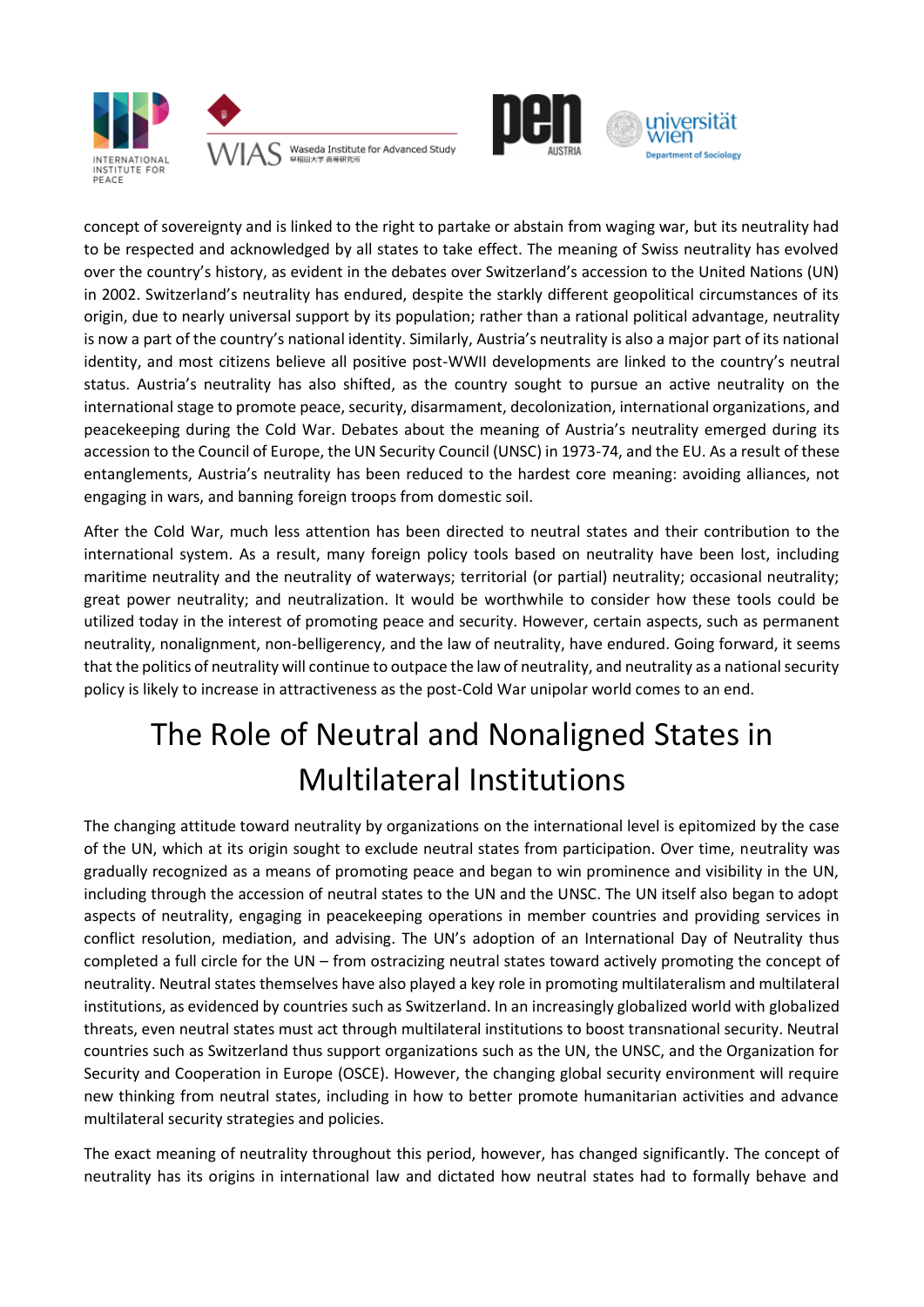





concept of sovereignty and is linked to the right to partake or abstain from waging war, but its neutrality had to be respected and acknowledged by all states to take effect. The meaning of Swiss neutrality has evolved over the country's history, as evident in the debates over Switzerland's accession to the United Nations (UN) in 2002. Switzerland's neutrality has endured, despite the starkly different geopolitical circumstances of its origin, due to nearly universal support by its population; rather than a rational political advantage, neutrality is now a part of the country's national identity. Similarly, Austria's neutrality is also a major part of its national identity, and most citizens believe all positive post-WWII developments are linked to the country's neutral status. Austria's neutrality has also shifted, as the country sought to pursue an active neutrality on the international stage to promote peace, security, disarmament, decolonization, international organizations, and peacekeeping during the Cold War. Debates about the meaning of Austria's neutrality emerged during its accession to the Council of Europe, the UN Security Council (UNSC) in 1973-74, and the EU. As a result of these entanglements, Austria's neutrality has been reduced to the hardest core meaning: avoiding alliances, not engaging in wars, and banning foreign troops from domestic soil.

After the Cold War, much less attention has been directed to neutral states and their contribution to the international system. As a result, many foreign policy tools based on neutrality have been lost, including maritime neutrality and the neutrality of waterways; territorial (or partial) neutrality; occasional neutrality; great power neutrality; and neutralization. It would be worthwhile to consider how these tools could be utilized today in the interest of promoting peace and security. However, certain aspects, such as permanent neutrality, nonalignment, non-belligerency, and the law of neutrality, have endured. Going forward, it seems that the politics of neutrality will continue to outpace the law of neutrality, and neutrality as a national security policy is likely to increase in attractiveness as the post-Cold War unipolar world comes to an end.

## The Role of Neutral and Nonaligned States in Multilateral Institutions

The changing attitude toward neutrality by organizations on the international level is epitomized by the case of the UN, which at its origin sought to exclude neutral states from participation. Over time, neutrality was gradually recognized as a means of promoting peace and began to win prominence and visibility in the UN, including through the accession of neutral states to the UN and the UNSC. The UN itself also began to adopt aspects of neutrality, engaging in peacekeeping operations in member countries and providing services in conflict resolution, mediation, and advising. The UN's adoption of an International Day of Neutrality thus completed a full circle for the UN – from ostracizing neutral states toward actively promoting the concept of neutrality. Neutral states themselves have also played a key role in promoting multilateralism and multilateral institutions, as evidenced by countries such as Switzerland. In an increasingly globalized world with globalized threats, even neutral states must act through multilateral institutions to boost transnational security. Neutral countries such as Switzerland thus support organizations such as the UN, the UNSC, and the Organization for Security and Cooperation in Europe (OSCE). However, the changing global security environment will require new thinking from neutral states, including in how to better promote humanitarian activities and advance multilateral security strategies and policies.

The exact meaning of neutrality throughout this period, however, has changed significantly. The concept of neutrality has its origins in international law and dictated how neutral states had to formally behave and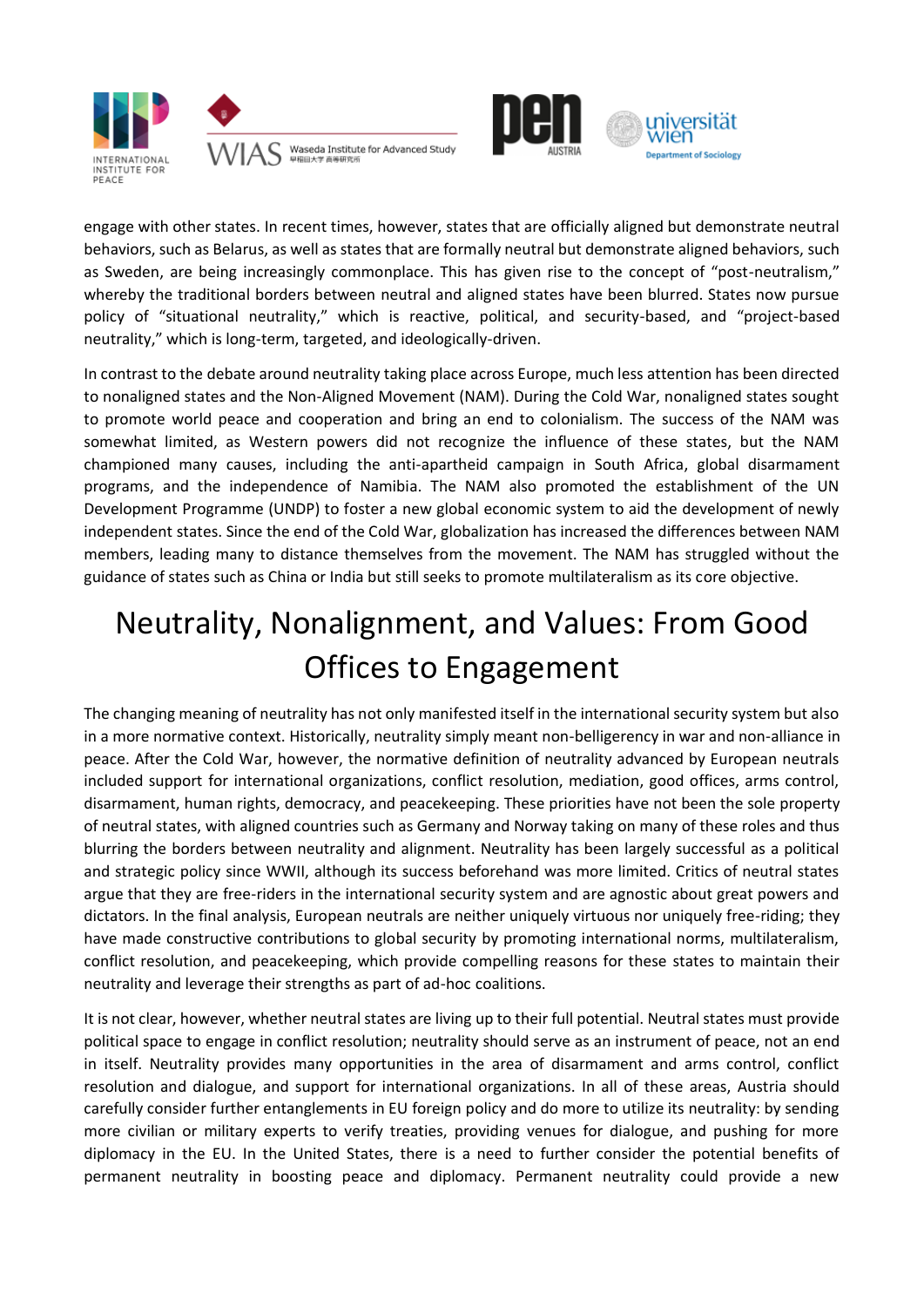





engage with other states. In recent times, however, states that are officially aligned but demonstrate neutral behaviors, such as Belarus, as well as states that are formally neutral but demonstrate aligned behaviors, such as Sweden, are being increasingly commonplace. This has given rise to the concept of "post-neutralism," whereby the traditional borders between neutral and aligned states have been blurred. States now pursue policy of "situational neutrality," which is reactive, political, and security-based, and "project-based neutrality," which is long-term, targeted, and ideologically-driven.

In contrast to the debate around neutrality taking place across Europe, much less attention has been directed to nonaligned states and the Non-Aligned Movement (NAM). During the Cold War, nonaligned states sought to promote world peace and cooperation and bring an end to colonialism. The success of the NAM was somewhat limited, as Western powers did not recognize the influence of these states, but the NAM championed many causes, including the anti-apartheid campaign in South Africa, global disarmament programs, and the independence of Namibia. The NAM also promoted the establishment of the UN Development Programme (UNDP) to foster a new global economic system to aid the development of newly independent states. Since the end of the Cold War, globalization has increased the differences between NAM members, leading many to distance themselves from the movement. The NAM has struggled without the guidance of states such as China or India but still seeks to promote multilateralism as its core objective.

# Neutrality, Nonalignment, and Values: From Good Offices to Engagement

The changing meaning of neutrality has not only manifested itself in the international security system but also in a more normative context. Historically, neutrality simply meant non-belligerency in war and non-alliance in peace. After the Cold War, however, the normative definition of neutrality advanced by European neutrals included support for international organizations, conflict resolution, mediation, good offices, arms control, disarmament, human rights, democracy, and peacekeeping. These priorities have not been the sole property of neutral states, with aligned countries such as Germany and Norway taking on many of these roles and thus blurring the borders between neutrality and alignment. Neutrality has been largely successful as a political and strategic policy since WWII, although its success beforehand was more limited. Critics of neutral states argue that they are free-riders in the international security system and are agnostic about great powers and dictators. In the final analysis, European neutrals are neither uniquely virtuous nor uniquely free-riding; they have made constructive contributions to global security by promoting international norms, multilateralism, conflict resolution, and peacekeeping, which provide compelling reasons for these states to maintain their neutrality and leverage their strengths as part of ad-hoc coalitions.

It is not clear, however, whether neutral states are living up to their full potential. Neutral states must provide political space to engage in conflict resolution; neutrality should serve as an instrument of peace, not an end in itself. Neutrality provides many opportunities in the area of disarmament and arms control, conflict resolution and dialogue, and support for international organizations. In all of these areas, Austria should carefully consider further entanglements in EU foreign policy and do more to utilize its neutrality: by sending more civilian or military experts to verify treaties, providing venues for dialogue, and pushing for more diplomacy in the EU. In the United States, there is a need to further consider the potential benefits of permanent neutrality in boosting peace and diplomacy. Permanent neutrality could provide a new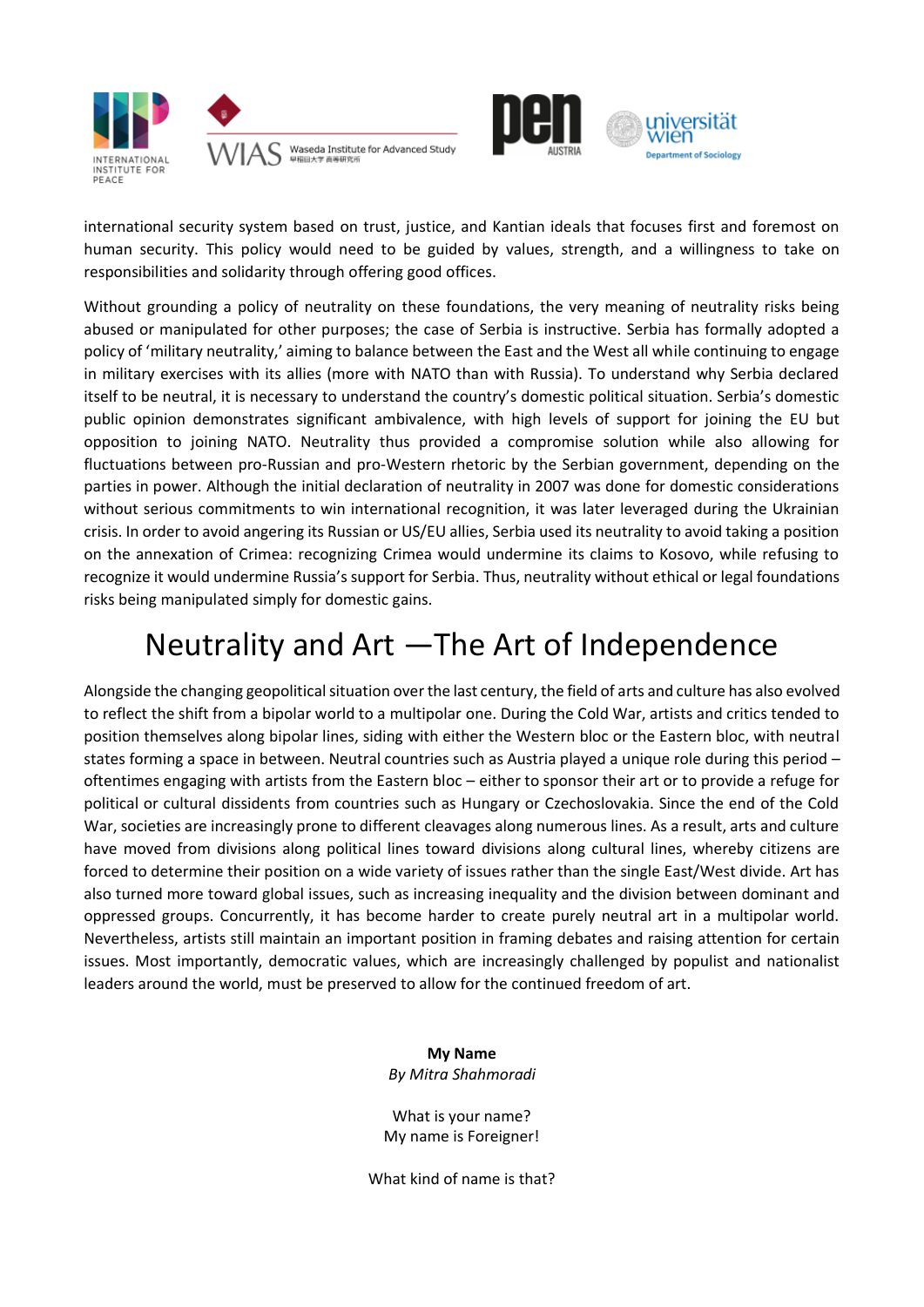





international security system based on trust, justice, and Kantian ideals that focuses first and foremost on human security. This policy would need to be guided by values, strength, and a willingness to take on responsibilities and solidarity through offering good offices.

Without grounding a policy of neutrality on these foundations, the very meaning of neutrality risks being abused or manipulated for other purposes; the case of Serbia is instructive. Serbia has formally adopted a policy of 'military neutrality,' aiming to balance between the East and the West all while continuing to engage in military exercises with its allies (more with NATO than with Russia). To understand why Serbia declared itself to be neutral, it is necessary to understand the country's domestic political situation. Serbia's domestic public opinion demonstrates significant ambivalence, with high levels of support for joining the EU but opposition to joining NATO. Neutrality thus provided a compromise solution while also allowing for fluctuations between pro-Russian and pro-Western rhetoric by the Serbian government, depending on the parties in power. Although the initial declaration of neutrality in 2007 was done for domestic considerations without serious commitments to win international recognition, it was later leveraged during the Ukrainian crisis. In order to avoid angering its Russian or US/EU allies, Serbia used its neutrality to avoid taking a position on the annexation of Crimea: recognizing Crimea would undermine its claims to Kosovo, while refusing to recognize it would undermine Russia's support for Serbia. Thus, neutrality without ethical or legal foundations risks being manipulated simply for domestic gains.

### Neutrality and Art —The Art of Independence

Alongside the changing geopolitical situation over the last century, the field of arts and culture has also evolved to reflect the shift from a bipolar world to a multipolar one. During the Cold War, artists and critics tended to position themselves along bipolar lines, siding with either the Western bloc or the Eastern bloc, with neutral states forming a space in between. Neutral countries such as Austria played a unique role during this period – oftentimes engaging with artists from the Eastern bloc – either to sponsor their art or to provide a refuge for political or cultural dissidents from countries such as Hungary or Czechoslovakia. Since the end of the Cold War, societies are increasingly prone to different cleavages along numerous lines. As a result, arts and culture have moved from divisions along political lines toward divisions along cultural lines, whereby citizens are forced to determine their position on a wide variety of issues rather than the single East/West divide. Art has also turned more toward global issues, such as increasing inequality and the division between dominant and oppressed groups. Concurrently, it has become harder to create purely neutral art in a multipolar world. Nevertheless, artists still maintain an important position in framing debates and raising attention for certain issues. Most importantly, democratic values, which are increasingly challenged by populist and nationalist leaders around the world, must be preserved to allow for the continued freedom of art.

> **My Name** *By Mitra Shahmoradi*

What is your name? My name is Foreigner!

What kind of name is that?